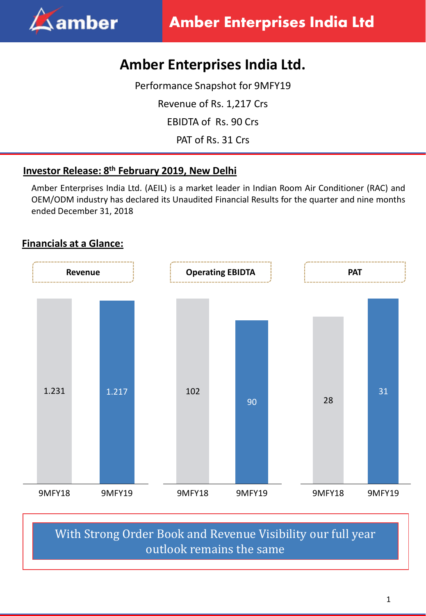

# **Amber Enterprises India Ltd.**

Performance Snapshot for 9MFY19

Revenue of Rs. 1,217 Crs

EBIDTA of Rs. 90 Crs

PAT of Rs. 31 Crs

### **Investor Release: 8 th February 2019, New Delhi**

Amber Enterprises India Ltd. (AEIL) is a market leader in Indian Room Air Conditioner (RAC) and OEM/ODM industry has declared its Unaudited Financial Results for the quarter and nine months ended December 31, 2018

## **Financials at a Glance:**



# With Strong Order Book and Revenue Visibility our full year outlook remains the same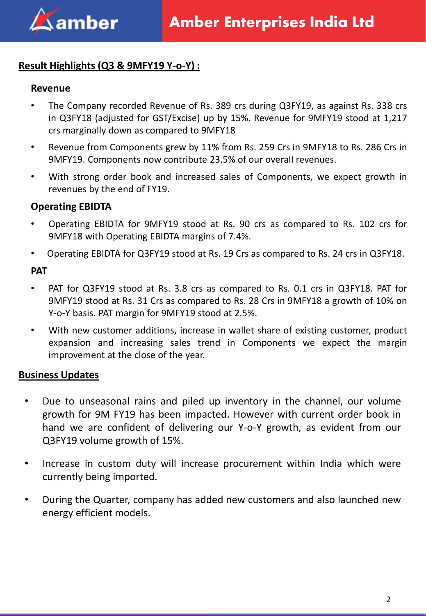

#### **Result Highlights (Q3 & 9MFY19 Y-o-Y) :**

#### **Revenue**

- The Company recorded Revenue of Rs. 389 crs during Q3FY19, as against Rs. 338 crs in Q3FY18 (adjusted for GST/Excise) up by 15%. Revenue for 9MFY19 stood at 1,217 crs marginally down as compared to 9MFY18
- Revenue from Components grew by 11% from Rs. 259 Crs in 9MFY18 to Rs. 286 Crs in 9MFY19. Components now contribute 23.5% of our overall revenues.
- With strong order book and increased sales of Components, we expect growth in revenues by the end of FY19.

#### **Operating EBIDTA**

- Operating EBIDTA for 9MFY19 stood at Rs. 90 crs as compared to Rs. 102 crs for 9MFY18 with Operating EBIDTA margins of 7.4%.
- Operating EBIDTA for Q3FY19 stood at Rs. 19 Crs as compared to Rs. 24 crs in Q3FY18.

#### **PAT**

- PAT for Q3FY19 stood at Rs. 3.8 crs as compared to Rs. 0.1 crs in Q3FY18. PAT for 9MFY19 stood at Rs. 31 Crs as compared to Rs. 28 Crs in 9MFY18 a growth of 10% on Y-o-Y basis. PAT margin for 9MFY19 stood at 2.5%.
- With new customer additions, increase in wallet share of existing customer, product expansion and increasing sales trend in Components we expect the margin improvement at the close of the year.

#### **Business Updates**

- Due to unseasonal rains and piled up inventory in the channel, our volume growth for 9M FY19 has been impacted. However with current order book in hand we are confident of delivering our Y-o-Y growth, as evident from our Q3FY19 volume growth of 15%.
- Increase in custom duty will increase procurement within India which were currently being imported.
- During the Quarter, company has added new customers and also launched new energy efficient models.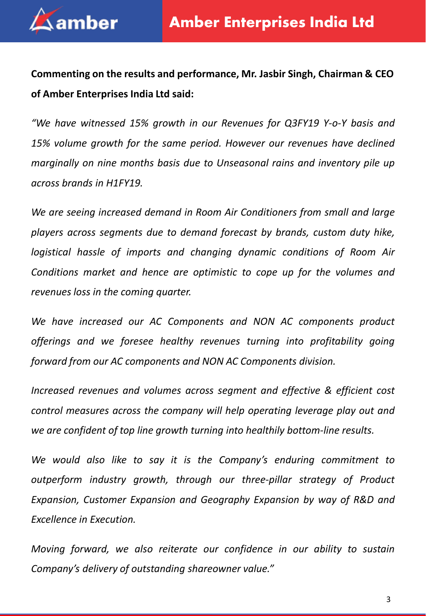

**Commenting on the results and performance, Mr. Jasbir Singh, Chairman & CEO of Amber Enterprises India Ltd said:**

*"We have witnessed 15% growth in our Revenues for Q3FY19 Y-o-Y basis and 15% volume growth for the same period. However our revenues have declined marginally on nine months basis due to Unseasonal rains and inventory pile up across brands in H1FY19.*

*We are seeing increased demand in Room Air Conditioners from small and large players across segments due to demand forecast by brands, custom duty hike, logistical hassle of imports and changing dynamic conditions of Room Air Conditions market and hence are optimistic to cope up for the volumes and revenues loss in the coming quarter.*

*We have increased our AC Components and NON AC components product offerings and we foresee healthy revenues turning into profitability going forward from our AC components and NON AC Components division.*

*Increased revenues and volumes across segment and effective & efficient cost control measures across the company will help operating leverage play out and we are confident of top line growth turning into healthily bottom-line results.*

*We would also like to say it is the Company's enduring commitment to outperform industry growth, through our three-pillar strategy of Product Expansion, Customer Expansion and Geography Expansion by way of R&D and Excellence in Execution.*

*Moving forward, we also reiterate our confidence in our ability to sustain Company's delivery of outstanding shareowner value."*